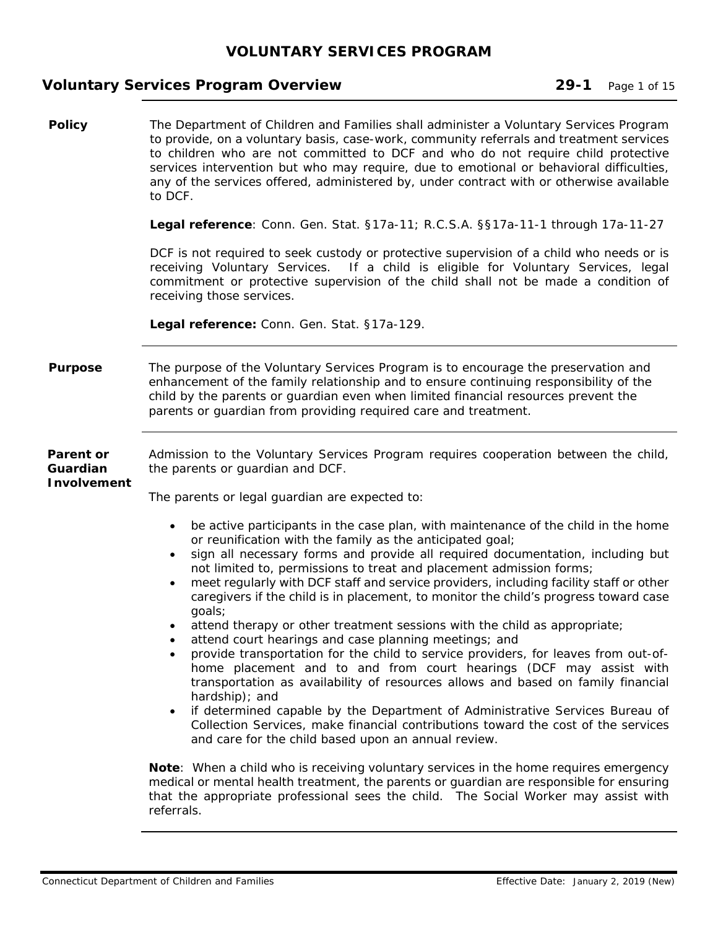# **Voluntary Services Program Overview 29-1 Page 1 of 15**

| <b>Policy</b>                        | The Department of Children and Families shall administer a Voluntary Services Program<br>to provide, on a voluntary basis, case-work, community referrals and treatment services<br>to children who are not committed to DCF and who do not require child protective<br>services intervention but who may require, due to emotional or behavioral difficulties,<br>any of the services offered, administered by, under contract with or otherwise available<br>to DCF.                                                                                                                                                                                                                                                                                                                                                                                                                                                                                                                                                                                                                                                                                |
|--------------------------------------|-------------------------------------------------------------------------------------------------------------------------------------------------------------------------------------------------------------------------------------------------------------------------------------------------------------------------------------------------------------------------------------------------------------------------------------------------------------------------------------------------------------------------------------------------------------------------------------------------------------------------------------------------------------------------------------------------------------------------------------------------------------------------------------------------------------------------------------------------------------------------------------------------------------------------------------------------------------------------------------------------------------------------------------------------------------------------------------------------------------------------------------------------------|
|                                      | Legal reference: Conn. Gen. Stat. §17a-11; R.C.S.A. §§17a-11-1 through 17a-11-27                                                                                                                                                                                                                                                                                                                                                                                                                                                                                                                                                                                                                                                                                                                                                                                                                                                                                                                                                                                                                                                                      |
|                                      | DCF is not required to seek custody or protective supervision of a child who needs or is<br>receiving Voluntary Services. If a child is eligible for Voluntary Services, legal<br>commitment or protective supervision of the child shall not be made a condition of<br>receiving those services.                                                                                                                                                                                                                                                                                                                                                                                                                                                                                                                                                                                                                                                                                                                                                                                                                                                     |
|                                      | Legal reference: Conn. Gen. Stat. §17a-129.                                                                                                                                                                                                                                                                                                                                                                                                                                                                                                                                                                                                                                                                                                                                                                                                                                                                                                                                                                                                                                                                                                           |
| <b>Purpose</b>                       | The purpose of the Voluntary Services Program is to encourage the preservation and<br>enhancement of the family relationship and to ensure continuing responsibility of the<br>child by the parents or guardian even when limited financial resources prevent the<br>parents or guardian from providing required care and treatment.                                                                                                                                                                                                                                                                                                                                                                                                                                                                                                                                                                                                                                                                                                                                                                                                                  |
| Parent or<br>Guardian<br>Involvement | Admission to the Voluntary Services Program requires cooperation between the child,<br>the parents or guardian and DCF.<br>The parents or legal guardian are expected to:                                                                                                                                                                                                                                                                                                                                                                                                                                                                                                                                                                                                                                                                                                                                                                                                                                                                                                                                                                             |
|                                      | be active participants in the case plan, with maintenance of the child in the home<br>$\bullet$<br>or reunification with the family as the anticipated goal;<br>sign all necessary forms and provide all required documentation, including but<br>not limited to, permissions to treat and placement admission forms;<br>meet regularly with DCF staff and service providers, including facility staff or other<br>caregivers if the child is in placement, to monitor the child's progress toward case<br>goals;<br>attend therapy or other treatment sessions with the child as appropriate;<br>attend court hearings and case planning meetings; and<br>provide transportation for the child to service providers, for leaves from out-of-<br>home placement and to and from court hearings (DCF may assist with<br>transportation as availability of resources allows and based on family financial<br>hardship); and<br>if determined capable by the Department of Administrative Services Bureau of<br>Collection Services, make financial contributions toward the cost of the services<br>and care for the child based upon an annual review. |
|                                      | Note: When a child who is receiving voluntary services in the home requires emergency<br>medical or mental health treatment, the parents or guardian are responsible for ensuring<br>that the appropriate professional sees the child. The Social Worker may assist with<br>referrals.                                                                                                                                                                                                                                                                                                                                                                                                                                                                                                                                                                                                                                                                                                                                                                                                                                                                |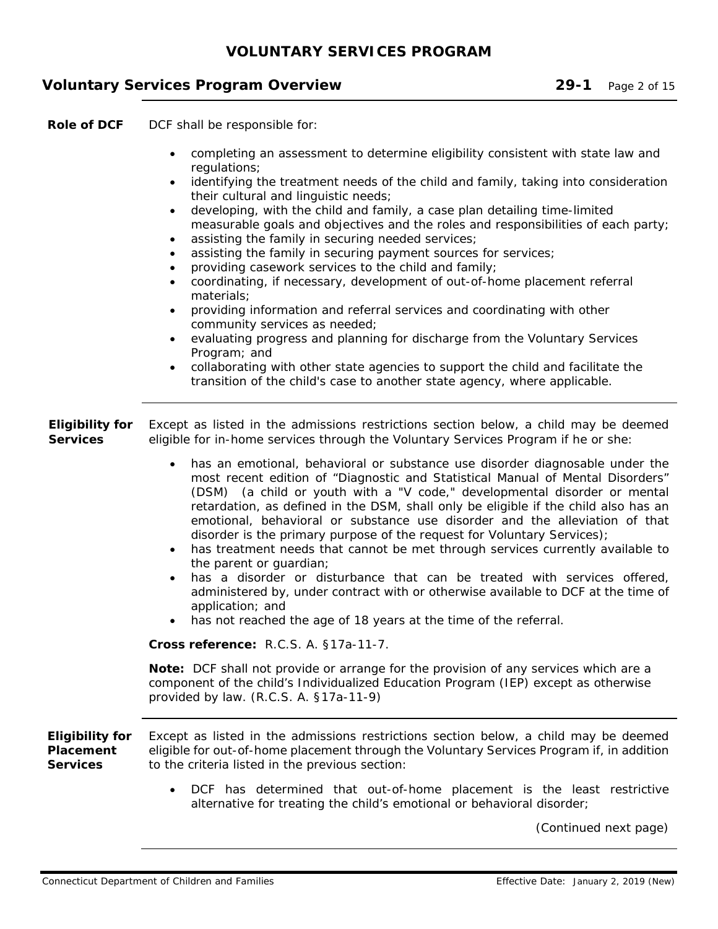## **Voluntary Services Program Overview 29-1** Page 2 of 15

**Role of DCF** DCF shall be responsible for:

- completing an assessment to determine eligibility consistent with state law and regulations;
- identifying the treatment needs of the child and family, taking into consideration their cultural and linguistic needs;
- developing, with the child and family, a case plan detailing time-limited measurable goals and objectives and the roles and responsibilities of each party;
- assisting the family in securing needed services;
- assisting the family in securing payment sources for services;
- providing casework services to the child and family;
- coordinating, if necessary, development of out-of-home placement referral materials;
- providing information and referral services and coordinating with other community services as needed;
- evaluating progress and planning for discharge from the Voluntary Services Program; and
- collaborating with other state agencies to support the child and facilitate the transition of the child's case to another state agency, where applicable.

**Eligibility for Services**  Except as listed in the admissions restrictions section below, a child may be deemed eligible for in-home services through the Voluntary Services Program if he or she:

- has an emotional, behavioral or substance use disorder diagnosable under the most recent edition of "Diagnostic and Statistical Manual of Mental Disorders" (DSM) (a child or youth with a "V code," developmental disorder or mental retardation, as defined in the DSM, shall only be eligible if the child also has an emotional, behavioral or substance use disorder and the alleviation of that disorder is the primary purpose of the request for Voluntary Services);
- has treatment needs that cannot be met through services currently available to the parent or quardian;
- has a disorder or disturbance that can be treated with services offered, administered by, under contract with or otherwise available to DCF at the time of application; and
- has not reached the age of 18 years at the time of the referral.

**Cross reference:** R.C.S. A. §17a-11-7.

**Note:** DCF shall not provide or arrange for the provision of any services which are a component of the child's Individualized Education Program (IEP) except as otherwise provided by law. (R.C.S. A. §17a-11-9)

| Eligibility for  | Except as listed in the admissions restrictions section below, a child may be deemed      |
|------------------|-------------------------------------------------------------------------------------------|
| <b>Placement</b> | eligible for out-of-home placement through the Voluntary Services Program if, in addition |
| <b>Services</b>  | to the criteria listed in the previous section:                                           |

 DCF has determined that out-of-home placement is the least restrictive alternative for treating the child's emotional or behavioral disorder;

(Continued next page)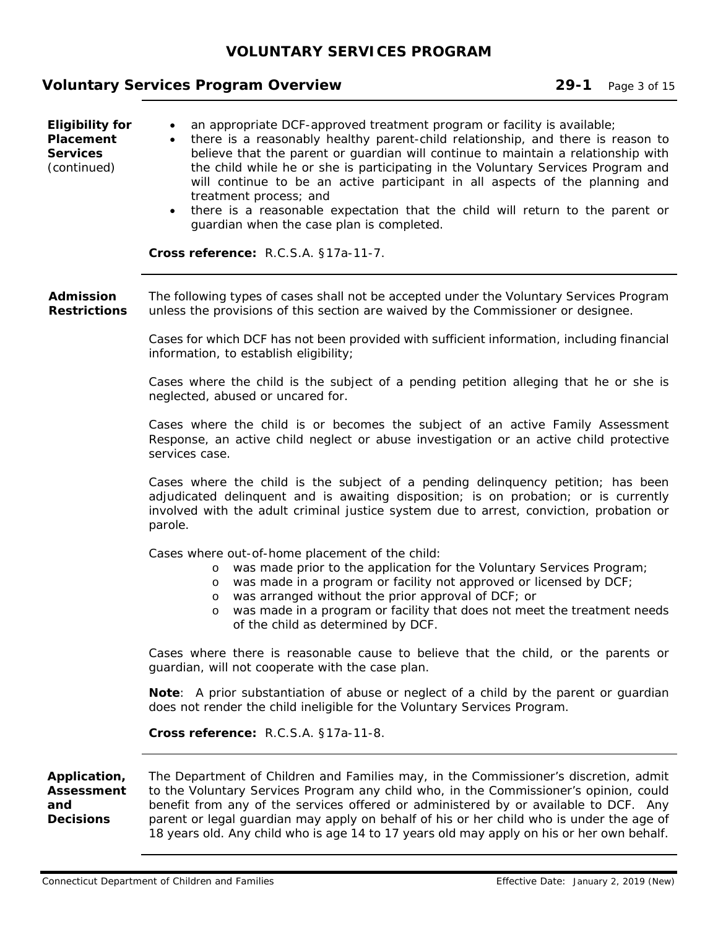# **Voluntary Services Program Overview 29-1** Page 3 of 15

| <b>Eligibility for</b><br>Placement<br><b>Services</b><br>(continued) | an appropriate DCF-approved treatment program or facility is available;<br>$\bullet$<br>there is a reasonably healthy parent-child relationship, and there is reason to<br>believe that the parent or guardian will continue to maintain a relationship with<br>the child while he or she is participating in the Voluntary Services Program and<br>will continue to be an active participant in all aspects of the planning and<br>treatment process; and<br>there is a reasonable expectation that the child will return to the parent or<br>$\bullet$<br>guardian when the case plan is completed.<br>Cross reference: R.C.S.A. §17a-11-7. |
|-----------------------------------------------------------------------|-----------------------------------------------------------------------------------------------------------------------------------------------------------------------------------------------------------------------------------------------------------------------------------------------------------------------------------------------------------------------------------------------------------------------------------------------------------------------------------------------------------------------------------------------------------------------------------------------------------------------------------------------|
| <b>Admission</b><br><b>Restrictions</b>                               | The following types of cases shall not be accepted under the Voluntary Services Program<br>unless the provisions of this section are waived by the Commissioner or designee.                                                                                                                                                                                                                                                                                                                                                                                                                                                                  |
|                                                                       | Cases for which DCF has not been provided with sufficient information, including financial<br>information, to establish eligibility;                                                                                                                                                                                                                                                                                                                                                                                                                                                                                                          |
|                                                                       | Cases where the child is the subject of a pending petition alleging that he or she is<br>neglected, abused or uncared for.                                                                                                                                                                                                                                                                                                                                                                                                                                                                                                                    |
|                                                                       | Cases where the child is or becomes the subject of an active Family Assessment<br>Response, an active child neglect or abuse investigation or an active child protective<br>services case.                                                                                                                                                                                                                                                                                                                                                                                                                                                    |
|                                                                       | Cases where the child is the subject of a pending delinquency petition; has been<br>adjudicated delinquent and is awaiting disposition; is on probation; or is currently<br>involved with the adult criminal justice system due to arrest, conviction, probation or<br>parole.                                                                                                                                                                                                                                                                                                                                                                |
|                                                                       | Cases where out-of-home placement of the child:<br>was made prior to the application for the Voluntary Services Program;<br>$\circ$<br>was made in a program or facility not approved or licensed by DCF;<br>$\circ$<br>was arranged without the prior approval of DCF; or<br>$\circ$<br>was made in a program or facility that does not meet the treatment needs<br>$\circ$<br>of the child as determined by DCF.                                                                                                                                                                                                                            |
|                                                                       | Cases where there is reasonable cause to believe that the child, or the parents or<br>guardian, will not cooperate with the case plan.                                                                                                                                                                                                                                                                                                                                                                                                                                                                                                        |
|                                                                       | <b>Note:</b> A prior substantiation of abuse or neglect of a child by the parent or guardian<br>does not render the child ineligible for the Voluntary Services Program.                                                                                                                                                                                                                                                                                                                                                                                                                                                                      |
|                                                                       | Cross reference: R.C.S.A. §17a-11-8.                                                                                                                                                                                                                                                                                                                                                                                                                                                                                                                                                                                                          |
| Application,<br><b>Assessment</b><br>and<br><b>Decisions</b>          | The Department of Children and Families may, in the Commissioner's discretion, admit<br>to the Voluntary Services Program any child who, in the Commissioner's opinion, could<br>benefit from any of the services offered or administered by or available to DCF. Any<br>parent or legal guardian may apply on behalf of his or her child who is under the age of<br>18 years old. Any child who is age 14 to 17 years old may apply on his or her own behalf.                                                                                                                                                                                |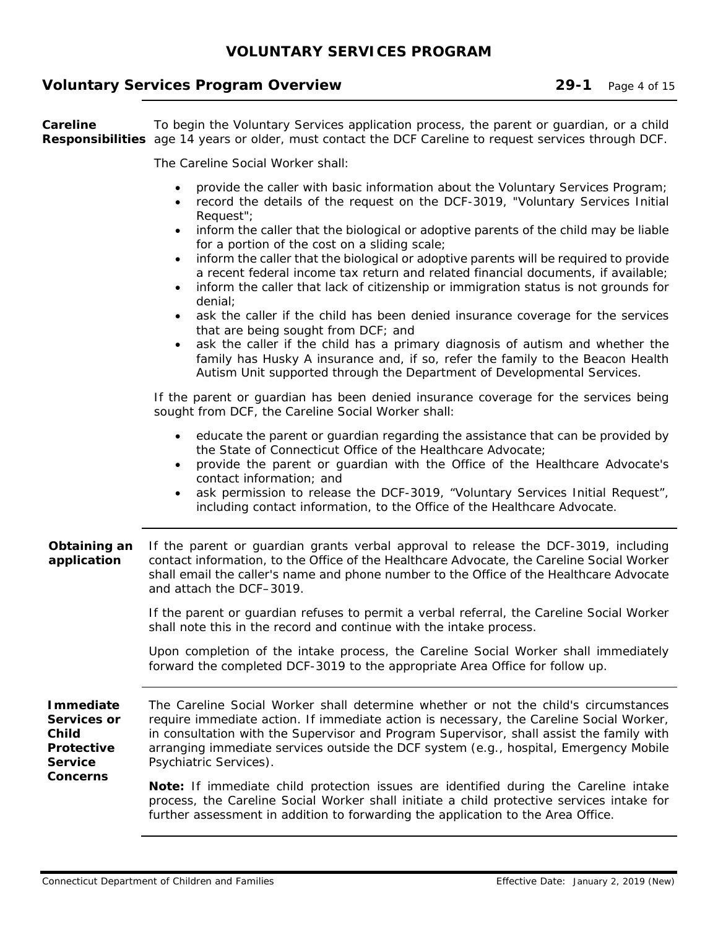#### **Voluntary Services Program Overview 29-1** Page 4 of 15

**Careline Responsibilities** age 14 years or older, must contact the DCF Careline to request services through DCF. To begin the Voluntary Services application process, the parent or guardian, or a child

The Careline Social Worker shall:

- provide the caller with basic information about the Voluntary Services Program;
- record the details of the request on the DCF-3019, "Voluntary Services Initial Request";
- inform the caller that the biological or adoptive parents of the child may be liable for a portion of the cost on a sliding scale;
- inform the caller that the biological or adoptive parents will be required to provide a recent federal income tax return and related financial documents, if available;
- inform the caller that lack of citizenship or immigration status is not grounds for denial;
- ask the caller if the child has been denied insurance coverage for the services that are being sought from DCF; and
- ask the caller if the child has a primary diagnosis of autism and whether the family has Husky A insurance and, if so, refer the family to the Beacon Health Autism Unit supported through the Department of Developmental Services.

If the parent or guardian has been denied insurance coverage for the services being sought from DCF, the Careline Social Worker shall:

- educate the parent or guardian regarding the assistance that can be provided by the State of Connecticut Office of the Healthcare Advocate;
- provide the parent or guardian with the Office of the Healthcare Advocate's contact information; and
- ask permission to release the DCF-3019, "Voluntary Services Initial Request", including contact information, to the Office of the Healthcare Advocate.
- **Obtaining an application**  If the parent or guardian grants verbal approval to release the DCF-3019, including contact information, to the Office of the Healthcare Advocate, the Careline Social Worker shall email the caller's name and phone number to the Office of the Healthcare Advocate and attach the DCF–3019.

If the parent or guardian refuses to permit a verbal referral, the Careline Social Worker shall note this in the record and continue with the intake process.

Upon completion of the intake process, the Careline Social Worker shall immediately forward the completed DCF-3019 to the appropriate Area Office for follow up.

**Immediate Services or Child Protective Service Concerns**  The Careline Social Worker shall determine whether or not the child's circumstances require immediate action. If immediate action is necessary, the Careline Social Worker, in consultation with the Supervisor and Program Supervisor, shall assist the family with arranging immediate services outside the DCF system (e.g., hospital, Emergency Mobile Psychiatric Services).

**Note:** If immediate child protection issues are identified during the Careline intake process, the Careline Social Worker shall initiate a child protective services intake for further assessment in addition to forwarding the application to the Area Office.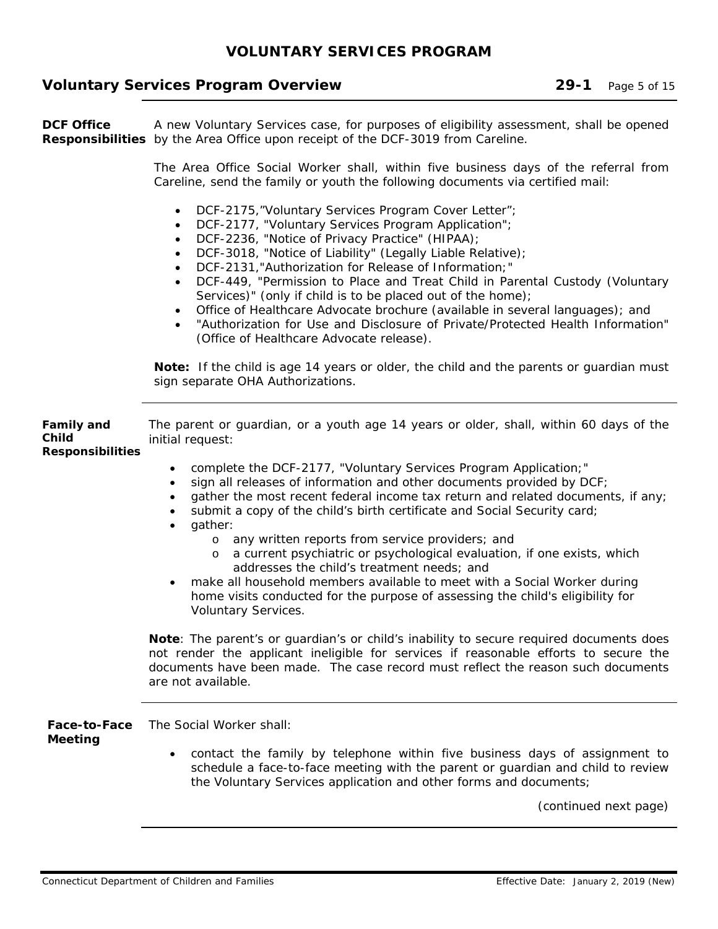### **Voluntary Services Program Overview 29-1** Page 5 of 15

**DCF Office Responsibilities** by the Area Office upon receipt of the DCF-3019 from Careline. A new Voluntary Services case, for purposes of eligibility assessment, shall be opened

> The Area Office Social Worker shall, within five business days of the referral from Careline, send the family or youth the following documents via certified mail:

- DCF-2175,"Voluntary Services Program Cover Letter";
- DCF-2177, "Voluntary Services Program Application";
- DCF-2236, "Notice of Privacy Practice" (HIPAA);
- DCF-3018, "Notice of Liability" (Legally Liable Relative);
- DCF-2131,"Authorization for Release of Information;"
- DCF-449, "Permission to Place and Treat Child in Parental Custody (Voluntary Services)" (only if child is to be placed out of the home);
- Office of Healthcare Advocate brochure (available in several languages); and
- "Authorization for Use and Disclosure of Private/Protected Health Information" (Office of Healthcare Advocate release).

**Note:** If the child is age 14 years or older, the child and the parents or guardian must sign separate OHA Authorizations.

| <b>Family and</b><br>Child<br><b>Responsibilities</b> | The parent or guardian, or a youth age 14 years or older, shall, within 60 days of the<br>initial request:                                                                                                                                                                                                                                                                                                  |  |
|-------------------------------------------------------|-------------------------------------------------------------------------------------------------------------------------------------------------------------------------------------------------------------------------------------------------------------------------------------------------------------------------------------------------------------------------------------------------------------|--|
|                                                       | complete the DCF-2177, "Voluntary Services Program Application;"<br>$\bullet$<br>sign all releases of information and other documents provided by DCF;<br>gather the most recent federal income tax return and related documents, if any;<br>submit a copy of the child's birth certificate and Social Security card;<br>gather:<br>$\bullet$<br>any written reports from service providers; and<br>$\circ$ |  |
|                                                       | a current psychiatric or psychological evaluation, if one exists, which<br>$\circ$<br>addresses the child's treatment needs; and<br>make all household members available to meet with a Social Worker during<br>$\bullet$<br>home visits conducted for the purpose of assessing the child's eligibility for<br>Voluntary Services.                                                                          |  |
|                                                       | Note: The parent's or guardian's or child's inability to secure required documents does<br>not render the applicant ineligible for services if reasonable efforts to secure the<br>documents have been made. The case record must reflect the reason such documents<br>are not available.                                                                                                                   |  |
| Face-to-Face<br><b>Meeting</b>                        | The Social Worker shall:<br>contact the family by telephone within five business days of assignment to<br>$\bullet$<br>schedule a face-to-face meeting with the parent or guardian and child to review<br>the Voluntary Services application and other forms and documents;                                                                                                                                 |  |
|                                                       | (continued next page)                                                                                                                                                                                                                                                                                                                                                                                       |  |

Connecticut Department of Children and Families **Effective Date: January 2, 2019** (New)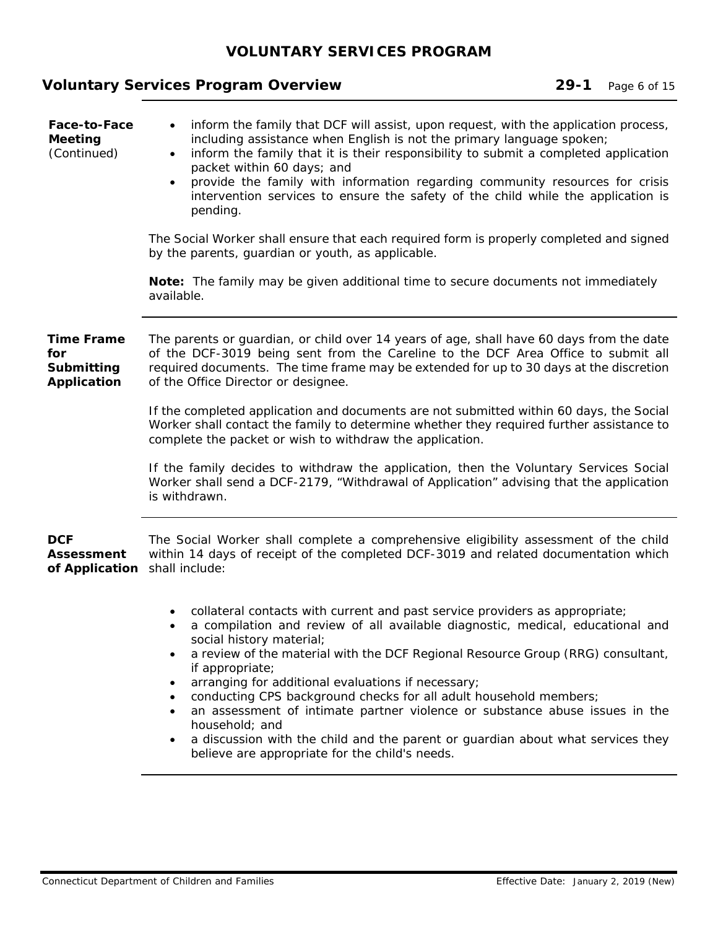# **Voluntary Services Program Overview 29-1 Page 6 of 15**

| Face-to-Face<br><b>Meeting</b><br>(Continued)         | inform the family that DCF will assist, upon request, with the application process,<br>including assistance when English is not the primary language spoken;<br>inform the family that it is their responsibility to submit a completed application<br>$\bullet$<br>packet within 60 days; and<br>provide the family with information regarding community resources for crisis<br>intervention services to ensure the safety of the child while the application is<br>pending.<br>The Social Worker shall ensure that each required form is properly completed and signed<br>by the parents, guardian or youth, as applicable.<br>Note: The family may be given additional time to secure documents not immediately |  |
|-------------------------------------------------------|---------------------------------------------------------------------------------------------------------------------------------------------------------------------------------------------------------------------------------------------------------------------------------------------------------------------------------------------------------------------------------------------------------------------------------------------------------------------------------------------------------------------------------------------------------------------------------------------------------------------------------------------------------------------------------------------------------------------|--|
|                                                       | available.                                                                                                                                                                                                                                                                                                                                                                                                                                                                                                                                                                                                                                                                                                          |  |
| <b>Time Frame</b><br>for<br>Submitting<br>Application | The parents or guardian, or child over 14 years of age, shall have 60 days from the date<br>of the DCF-3019 being sent from the Careline to the DCF Area Office to submit all<br>required documents. The time frame may be extended for up to 30 days at the discretion<br>of the Office Director or designee.                                                                                                                                                                                                                                                                                                                                                                                                      |  |
|                                                       | If the completed application and documents are not submitted within 60 days, the Social<br>Worker shall contact the family to determine whether they required further assistance to<br>complete the packet or wish to withdraw the application.                                                                                                                                                                                                                                                                                                                                                                                                                                                                     |  |
|                                                       | If the family decides to withdraw the application, then the Voluntary Services Social<br>Worker shall send a DCF-2179, "Withdrawal of Application" advising that the application<br>is withdrawn.                                                                                                                                                                                                                                                                                                                                                                                                                                                                                                                   |  |
| <b>DCF</b><br><b>Assessment</b><br>of Application     | The Social Worker shall complete a comprehensive eligibility assessment of the child<br>within 14 days of receipt of the completed DCF-3019 and related documentation which<br>shall include:                                                                                                                                                                                                                                                                                                                                                                                                                                                                                                                       |  |
|                                                       | collateral contacts with current and past service providers as appropriate;<br>a compilation and review of all available diagnostic, medical, educational and<br>social history material;<br>a review of the material with the DCF Regional Resource Group (RRG) consultant,<br>if appropriate;<br>arranging for additional evaluations if necessary;<br>٠<br>conducting CPS background checks for all adult household members;<br>an assessment of intimate partner violence or substance abuse issues in the<br>household; and<br>a discussion with the child and the parent or guardian about what services they<br>believe are appropriate for the child's needs.                                               |  |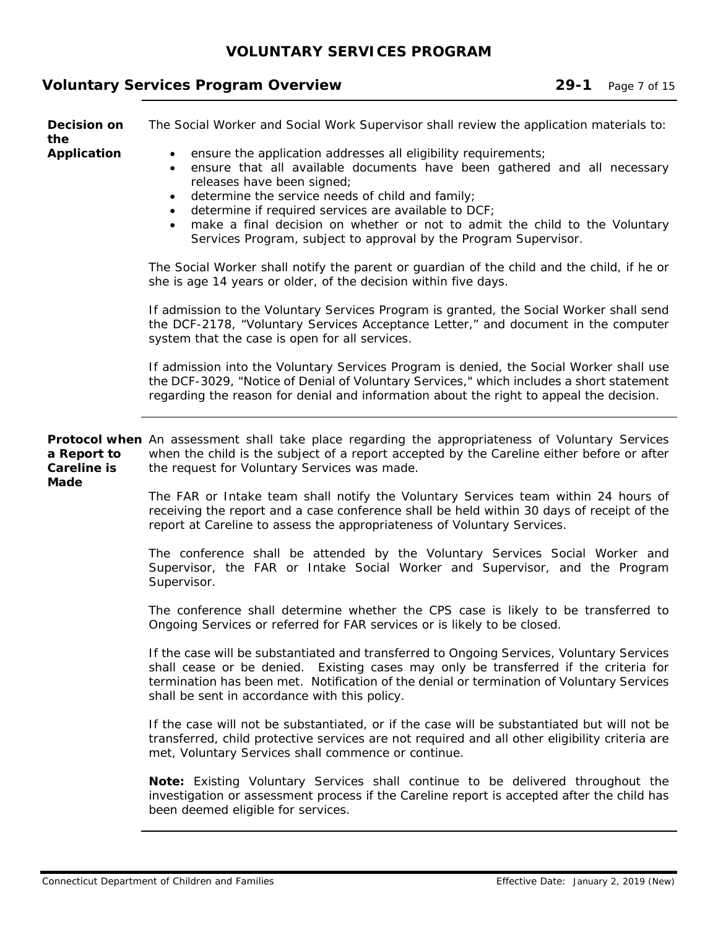# **Voluntary Services Program Overview 29-1 Page 7 of 15**

| Decision on<br>the                        | The Social Worker and Social Work Supervisor shall review the application materials to:                                                                                                                                                                                                                                                                                                                                                                                                     |
|-------------------------------------------|---------------------------------------------------------------------------------------------------------------------------------------------------------------------------------------------------------------------------------------------------------------------------------------------------------------------------------------------------------------------------------------------------------------------------------------------------------------------------------------------|
| <b>Application</b>                        | ensure the application addresses all eligibility requirements;<br>$\bullet$<br>ensure that all available documents have been gathered and all necessary<br>$\bullet$<br>releases have been signed;<br>determine the service needs of child and family;<br>$\bullet$<br>determine if required services are available to DCF;<br>make a final decision on whether or not to admit the child to the Voluntary<br>$\bullet$<br>Services Program, subject to approval by the Program Supervisor. |
|                                           | The Social Worker shall notify the parent or guardian of the child and the child, if he or<br>she is age 14 years or older, of the decision within five days.                                                                                                                                                                                                                                                                                                                               |
|                                           | If admission to the Voluntary Services Program is granted, the Social Worker shall send<br>the DCF-2178, "Voluntary Services Acceptance Letter," and document in the computer<br>system that the case is open for all services.                                                                                                                                                                                                                                                             |
|                                           | If admission into the Voluntary Services Program is denied, the Social Worker shall use<br>the DCF-3029, "Notice of Denial of Voluntary Services," which includes a short statement<br>regarding the reason for denial and information about the right to appeal the decision.                                                                                                                                                                                                              |
| a Report to<br><b>Careline is</b><br>Made | Protocol when An assessment shall take place regarding the appropriateness of Voluntary Services<br>when the child is the subject of a report accepted by the Careline either before or after<br>the request for Voluntary Services was made.                                                                                                                                                                                                                                               |
|                                           | The FAR or Intake team shall notify the Voluntary Services team within 24 hours of<br>receiving the report and a case conference shall be held within 30 days of receipt of the<br>report at Careline to assess the appropriateness of Voluntary Services.                                                                                                                                                                                                                                  |
|                                           | The conference shall be attended by the Voluntary Services Social Worker and<br>Supervisor, the FAR or Intake Social Worker and Supervisor, and the Program<br>Supervisor.                                                                                                                                                                                                                                                                                                                  |
|                                           | The conference shall determine whether the CPS case is likely to be transferred to<br>Ongoing Services or referred for FAR services or is likely to be closed.                                                                                                                                                                                                                                                                                                                              |
|                                           | If the case will be substantiated and transferred to Ongoing Services, Voluntary Services<br>shall cease or be denied. Existing cases may only be transferred if the criteria for<br>termination has been met. Notification of the denial or termination of Voluntary Services<br>shall be sent in accordance with this policy.                                                                                                                                                             |
|                                           | If the case will not be substantiated, or if the case will be substantiated but will not be<br>transferred, child protective services are not required and all other eligibility criteria are<br>met, Voluntary Services shall commence or continue.                                                                                                                                                                                                                                        |
|                                           | Note: Existing Voluntary Services shall continue to be delivered throughout the<br>investigation or assessment process if the Careline report is accepted after the child has<br>been deemed eligible for services.                                                                                                                                                                                                                                                                         |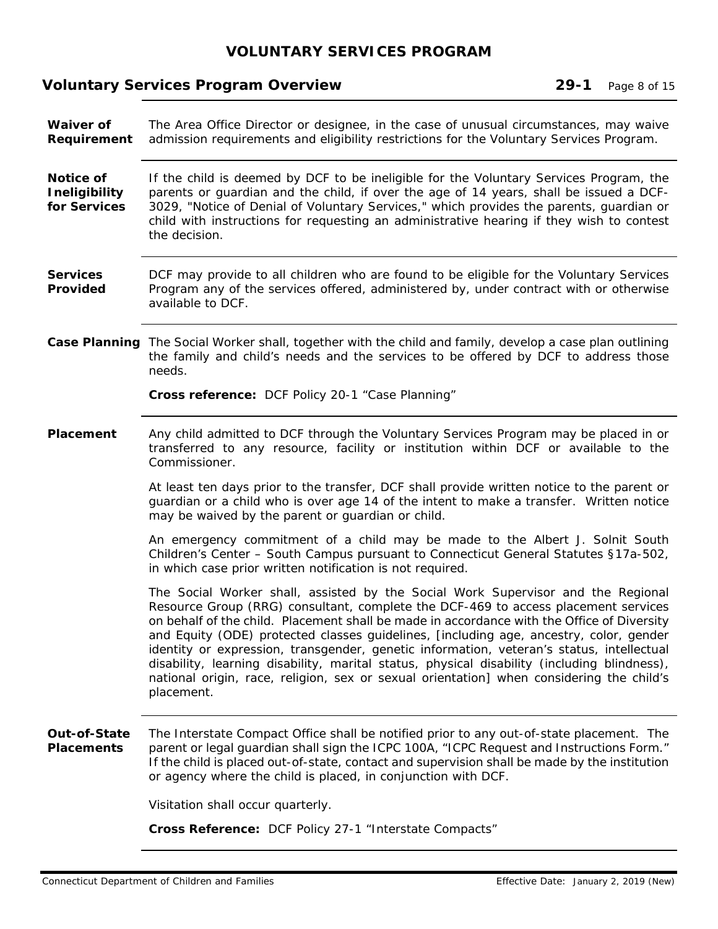# **Voluntary Services Program Overview 29-1 Page 8 of 15**

| <b>Waiver of</b><br>Requirement                   | The Area Office Director or designee, in the case of unusual circumstances, may waive<br>admission requirements and eligibility restrictions for the Voluntary Services Program.                                                                                                                                                                                                                                                                                                                                                                                                                                                                                    |  |
|---------------------------------------------------|---------------------------------------------------------------------------------------------------------------------------------------------------------------------------------------------------------------------------------------------------------------------------------------------------------------------------------------------------------------------------------------------------------------------------------------------------------------------------------------------------------------------------------------------------------------------------------------------------------------------------------------------------------------------|--|
| Notice of<br><b>Ineligibility</b><br>for Services | If the child is deemed by DCF to be ineligible for the Voluntary Services Program, the<br>parents or guardian and the child, if over the age of 14 years, shall be issued a DCF-<br>3029, "Notice of Denial of Voluntary Services," which provides the parents, guardian or<br>child with instructions for requesting an administrative hearing if they wish to contest<br>the decision.                                                                                                                                                                                                                                                                            |  |
| <b>Services</b><br>Provided                       | DCF may provide to all children who are found to be eligible for the Voluntary Services<br>Program any of the services offered, administered by, under contract with or otherwise<br>available to DCF.                                                                                                                                                                                                                                                                                                                                                                                                                                                              |  |
|                                                   | Case Planning The Social Worker shall, together with the child and family, develop a case plan outlining<br>the family and child's needs and the services to be offered by DCF to address those<br>needs.                                                                                                                                                                                                                                                                                                                                                                                                                                                           |  |
|                                                   | Cross reference: DCF Policy 20-1 "Case Planning"                                                                                                                                                                                                                                                                                                                                                                                                                                                                                                                                                                                                                    |  |
| Placement                                         | Any child admitted to DCF through the Voluntary Services Program may be placed in or<br>transferred to any resource, facility or institution within DCF or available to the<br>Commissioner.                                                                                                                                                                                                                                                                                                                                                                                                                                                                        |  |
|                                                   | At least ten days prior to the transfer, DCF shall provide written notice to the parent or<br>guardian or a child who is over age 14 of the intent to make a transfer. Written notice<br>may be waived by the parent or guardian or child.                                                                                                                                                                                                                                                                                                                                                                                                                          |  |
|                                                   | An emergency commitment of a child may be made to the Albert J. Solnit South<br>Children's Center - South Campus pursuant to Connecticut General Statutes §17a-502,<br>in which case prior written notification is not required.                                                                                                                                                                                                                                                                                                                                                                                                                                    |  |
|                                                   | The Social Worker shall, assisted by the Social Work Supervisor and the Regional<br>Resource Group (RRG) consultant, complete the DCF-469 to access placement services<br>on behalf of the child. Placement shall be made in accordance with the Office of Diversity<br>and Equity (ODE) protected classes guidelines, [including age, ancestry, color, gender<br>identity or expression, transgender, genetic information, veteran's status, intellectual<br>disability, learning disability, marital status, physical disability (including blindness),<br>national origin, race, religion, sex or sexual orientation] when considering the child's<br>placement. |  |
| Out-of-State<br><b>Placements</b>                 | The Interstate Compact Office shall be notified prior to any out-of-state placement. The<br>parent or legal guardian shall sign the ICPC 100A, "ICPC Request and Instructions Form."<br>If the child is placed out-of-state, contact and supervision shall be made by the institution<br>or agency where the child is placed, in conjunction with DCF.                                                                                                                                                                                                                                                                                                              |  |
|                                                   | Visitation shall occur quarterly.                                                                                                                                                                                                                                                                                                                                                                                                                                                                                                                                                                                                                                   |  |
|                                                   | <b>Cross Reference: DCF Policy 27-1 "Interstate Compacts"</b>                                                                                                                                                                                                                                                                                                                                                                                                                                                                                                                                                                                                       |  |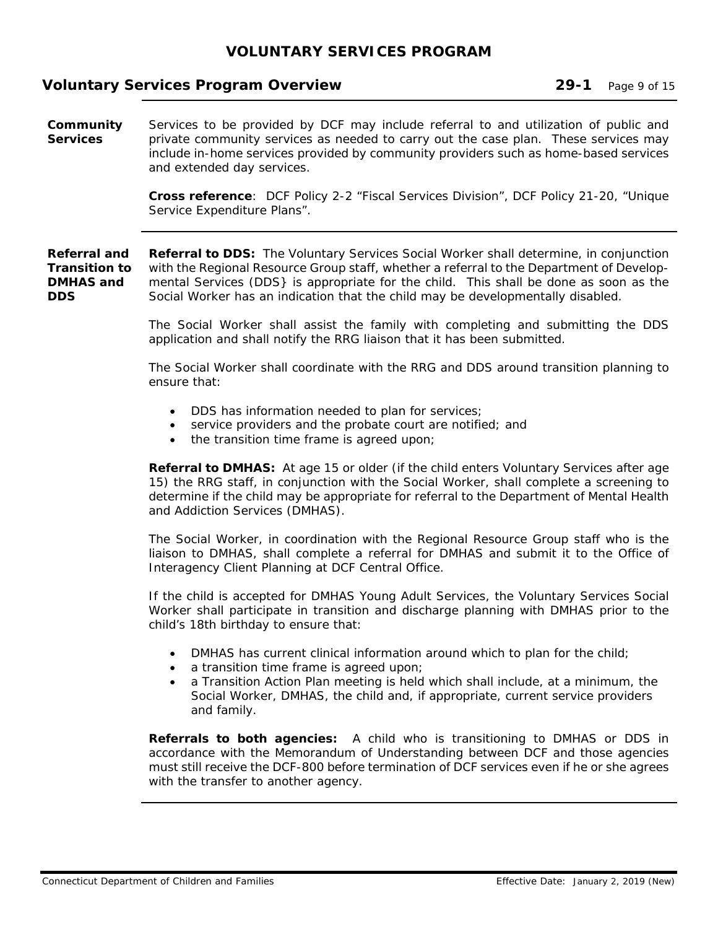#### **Voluntary Services Program Overview 29-1 Page 9 of 15**

**Community Services**  Services to be provided by DCF may include referral to and utilization of public and private community services as needed to carry out the case plan. These services may include in-home services provided by community providers such as home-based services and extended day services.

> **Cross reference**: DCF Policy 2-2 "Fiscal Services Division", DCF Policy 21-20, "Unique Service Expenditure Plans".

**Referral and Transition to DMHAS and DDS Referral to DDS:** The Voluntary Services Social Worker shall determine, in conjunction with the Regional Resource Group staff, whether a referral to the Department of Developmental Services (DDS} is appropriate for the child. This shall be done as soon as the Social Worker has an indication that the child may be developmentally disabled.

> The Social Worker shall assist the family with completing and submitting the DDS application and shall notify the RRG liaison that it has been submitted.

> The Social Worker shall coordinate with the RRG and DDS around transition planning to ensure that:

- DDS has information needed to plan for services;
- service providers and the probate court are notified; and
- the transition time frame is agreed upon;

**Referral to DMHAS:** At age 15 or older (if the child enters Voluntary Services after age 15) the RRG staff, in conjunction with the Social Worker, shall complete a screening to determine if the child may be appropriate for referral to the Department of Mental Health and Addiction Services (DMHAS).

The Social Worker, in coordination with the Regional Resource Group staff who is the liaison to DMHAS, shall complete a referral for DMHAS and submit it to the Office of Interagency Client Planning at DCF Central Office.

If the child is accepted for DMHAS Young Adult Services, the Voluntary Services Social Worker shall participate in transition and discharge planning with DMHAS prior to the child's 18th birthday to ensure that:

- DMHAS has current clinical information around which to plan for the child;
- a transition time frame is agreed upon;
- a Transition Action Plan meeting is held which shall include, at a minimum, the Social Worker, DMHAS, the child and, if appropriate, current service providers and family.

**Referrals to both agencies:** A child who is transitioning to DMHAS or DDS in accordance with the Memorandum of Understanding between DCF and those agencies must still receive the DCF-800 before termination of DCF services even if he or she agrees with the transfer to another agency.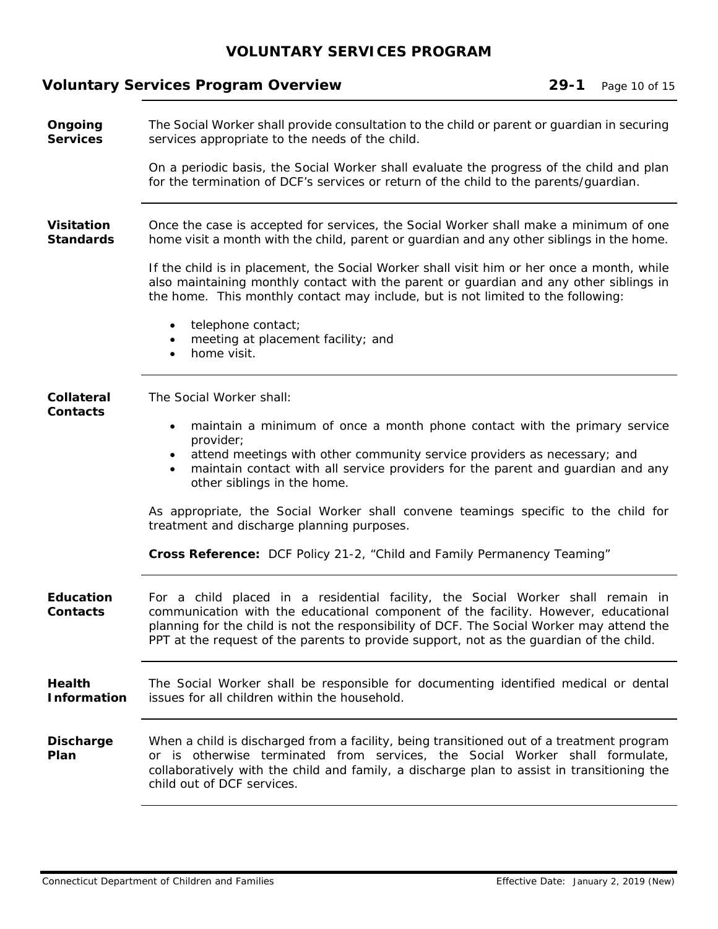|                                       | <b>Voluntary Services Program Overview</b>                                                                                                                                                                                                                                                                                                                    | $29 - 1$ | Page 10 of 15 |
|---------------------------------------|---------------------------------------------------------------------------------------------------------------------------------------------------------------------------------------------------------------------------------------------------------------------------------------------------------------------------------------------------------------|----------|---------------|
| Ongoing<br><b>Services</b>            | The Social Worker shall provide consultation to the child or parent or guardian in securing<br>services appropriate to the needs of the child.                                                                                                                                                                                                                |          |               |
|                                       | On a periodic basis, the Social Worker shall evaluate the progress of the child and plan<br>for the termination of DCF's services or return of the child to the parents/quardian.                                                                                                                                                                             |          |               |
| <b>Visitation</b><br><b>Standards</b> | Once the case is accepted for services, the Social Worker shall make a minimum of one<br>home visit a month with the child, parent or guardian and any other siblings in the home.                                                                                                                                                                            |          |               |
|                                       | If the child is in placement, the Social Worker shall visit him or her once a month, while<br>also maintaining monthly contact with the parent or guardian and any other siblings in<br>the home. This monthly contact may include, but is not limited to the following:                                                                                      |          |               |
|                                       | telephone contact;<br>$\bullet$<br>meeting at placement facility; and<br>home visit.                                                                                                                                                                                                                                                                          |          |               |
| <b>Collateral</b><br>Contacts         | The Social Worker shall:<br>maintain a minimum of once a month phone contact with the primary service<br>$\bullet$<br>provider;<br>attend meetings with other community service providers as necessary; and<br>$\bullet$<br>maintain contact with all service providers for the parent and guardian and any<br>$\bullet$<br>other siblings in the home.       |          |               |
|                                       | As appropriate, the Social Worker shall convene teamings specific to the child for<br>treatment and discharge planning purposes.                                                                                                                                                                                                                              |          |               |
|                                       | <b>Cross Reference:</b> DCF Policy 21-2, "Child and Family Permanency Teaming"                                                                                                                                                                                                                                                                                |          |               |
| <b>Education</b><br>Contacts          | For a child placed in a residential facility, the Social Worker shall remain in<br>communication with the educational component of the facility. However, educational<br>planning for the child is not the responsibility of DCF. The Social Worker may attend the<br>PPT at the request of the parents to provide support, not as the guardian of the child. |          |               |
| <b>Health</b><br><b>Information</b>   | The Social Worker shall be responsible for documenting identified medical or dental<br>issues for all children within the household.                                                                                                                                                                                                                          |          |               |
| <b>Discharge</b><br>Plan              | When a child is discharged from a facility, being transitioned out of a treatment program<br>or is otherwise terminated from services, the Social Worker shall formulate,<br>collaboratively with the child and family, a discharge plan to assist in transitioning the<br>child out of DCF services.                                                         |          |               |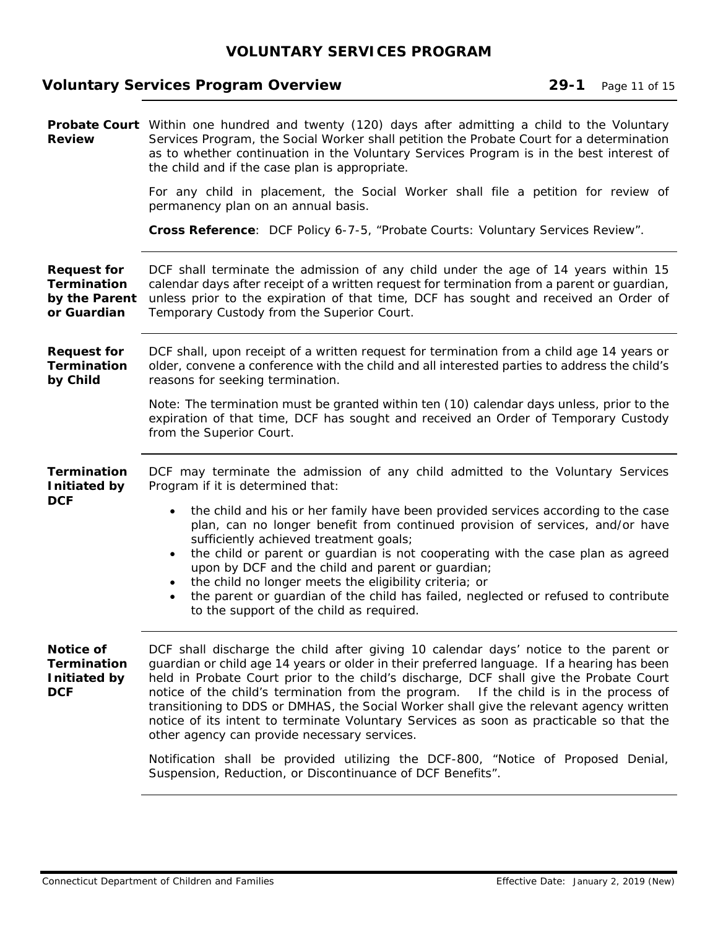# **Voluntary Services Program Overview 29-1** Page 11 of 15

| <b>Review</b>                                                            | <b>Probate Court</b> Within one hundred and twenty (120) days after admitting a child to the Voluntary<br>Services Program, the Social Worker shall petition the Probate Court for a determination<br>as to whether continuation in the Voluntary Services Program is in the best interest of<br>the child and if the case plan is appropriate.                                                                                                                                                                                                                                                                                                                                                  |
|--------------------------------------------------------------------------|--------------------------------------------------------------------------------------------------------------------------------------------------------------------------------------------------------------------------------------------------------------------------------------------------------------------------------------------------------------------------------------------------------------------------------------------------------------------------------------------------------------------------------------------------------------------------------------------------------------------------------------------------------------------------------------------------|
|                                                                          | For any child in placement, the Social Worker shall file a petition for review of<br>permanency plan on an annual basis.                                                                                                                                                                                                                                                                                                                                                                                                                                                                                                                                                                         |
|                                                                          | Cross Reference: DCF Policy 6-7-5, "Probate Courts: Voluntary Services Review".                                                                                                                                                                                                                                                                                                                                                                                                                                                                                                                                                                                                                  |
| <b>Request for</b><br><b>Termination</b><br>by the Parent<br>or Guardian | DCF shall terminate the admission of any child under the age of 14 years within 15<br>calendar days after receipt of a written request for termination from a parent or guardian,<br>unless prior to the expiration of that time, DCF has sought and received an Order of<br>Temporary Custody from the Superior Court.                                                                                                                                                                                                                                                                                                                                                                          |
| <b>Request for</b><br><b>Termination</b><br>by Child                     | DCF shall, upon receipt of a written request for termination from a child age 14 years or<br>older, convene a conference with the child and all interested parties to address the child's<br>reasons for seeking termination.                                                                                                                                                                                                                                                                                                                                                                                                                                                                    |
|                                                                          | Note: The termination must be granted within ten (10) calendar days unless, prior to the<br>expiration of that time, DCF has sought and received an Order of Temporary Custody<br>from the Superior Court.                                                                                                                                                                                                                                                                                                                                                                                                                                                                                       |
| <b>Termination</b><br>Initiated by                                       | DCF may terminate the admission of any child admitted to the Voluntary Services<br>Program if it is determined that:                                                                                                                                                                                                                                                                                                                                                                                                                                                                                                                                                                             |
| <b>DCF</b>                                                               | the child and his or her family have been provided services according to the case<br>$\bullet$<br>plan, can no longer benefit from continued provision of services, and/or have<br>sufficiently achieved treatment goals;<br>the child or parent or guardian is not cooperating with the case plan as agreed<br>$\bullet$<br>upon by DCF and the child and parent or guardian;<br>the child no longer meets the eligibility criteria; or<br>$\bullet$<br>the parent or guardian of the child has failed, neglected or refused to contribute<br>$\bullet$<br>to the support of the child as required.                                                                                             |
| Notice of<br><b>Termination</b><br>Initiated by<br><b>DCF</b>            | DCF shall discharge the child after giving 10 calendar days' notice to the parent or<br>guardian or child age 14 years or older in their preferred language. If a hearing has been<br>held in Probate Court prior to the child's discharge, DCF shall give the Probate Court<br>notice of the child's termination from the program. If the child is in the process of<br>transitioning to DDS or DMHAS, the Social Worker shall give the relevant agency written<br>notice of its intent to terminate Voluntary Services as soon as practicable so that the<br>other agency can provide necessary services.<br>Notification shall be provided utilizing the DCF-800, "Notice of Proposed Denial, |
|                                                                          | Suspension, Reduction, or Discontinuance of DCF Benefits".                                                                                                                                                                                                                                                                                                                                                                                                                                                                                                                                                                                                                                       |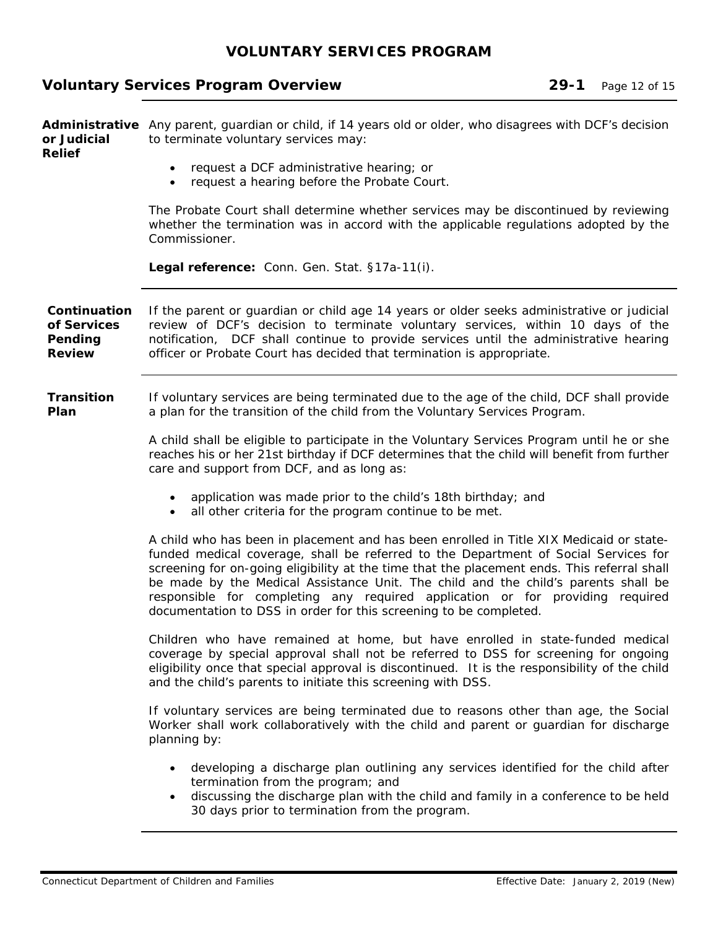# **Voluntary Services Program Overview 29-1** Page 12 of 15

| or Judicial<br>Relief                                   | Administrative Any parent, guardian or child, if 14 years old or older, who disagrees with DCF's decision<br>to terminate voluntary services may:                                                                                                                                                                                                                                                                                                                                                                         |  |
|---------------------------------------------------------|---------------------------------------------------------------------------------------------------------------------------------------------------------------------------------------------------------------------------------------------------------------------------------------------------------------------------------------------------------------------------------------------------------------------------------------------------------------------------------------------------------------------------|--|
|                                                         | request a DCF administrative hearing; or<br>request a hearing before the Probate Court.                                                                                                                                                                                                                                                                                                                                                                                                                                   |  |
|                                                         | The Probate Court shall determine whether services may be discontinued by reviewing<br>whether the termination was in accord with the applicable regulations adopted by the<br>Commissioner.                                                                                                                                                                                                                                                                                                                              |  |
|                                                         | Legal reference: Conn. Gen. Stat. §17a-11(i).                                                                                                                                                                                                                                                                                                                                                                                                                                                                             |  |
| Continuation<br>of Services<br>Pending<br><b>Review</b> | If the parent or guardian or child age 14 years or older seeks administrative or judicial<br>review of DCF's decision to terminate voluntary services, within 10 days of the<br>notification, DCF shall continue to provide services until the administrative hearing<br>officer or Probate Court has decided that termination is appropriate.                                                                                                                                                                            |  |
| <b>Transition</b><br>Plan                               | If voluntary services are being terminated due to the age of the child, DCF shall provide<br>a plan for the transition of the child from the Voluntary Services Program.                                                                                                                                                                                                                                                                                                                                                  |  |
|                                                         | A child shall be eligible to participate in the Voluntary Services Program until he or she<br>reaches his or her 21st birthday if DCF determines that the child will benefit from further<br>care and support from DCF, and as long as:                                                                                                                                                                                                                                                                                   |  |
|                                                         | • application was made prior to the child's 18th birthday; and<br>• all other criteria for the program continue to be met.                                                                                                                                                                                                                                                                                                                                                                                                |  |
|                                                         | A child who has been in placement and has been enrolled in Title XIX Medicaid or state-<br>funded medical coverage, shall be referred to the Department of Social Services for<br>screening for on-going eligibility at the time that the placement ends. This referral shall<br>be made by the Medical Assistance Unit. The child and the child's parents shall be<br>responsible for completing any required application or for providing required<br>documentation to DSS in order for this screening to be completed. |  |
|                                                         | Children who have remained at home, but have enrolled in state-funded medical<br>coverage by special approval shall not be referred to DSS for screening for ongoing<br>eligibility once that special approval is discontinued. It is the responsibility of the child<br>and the child's parents to initiate this screening with DSS.                                                                                                                                                                                     |  |
|                                                         | If voluntary services are being terminated due to reasons other than age, the Social<br>Worker shall work collaboratively with the child and parent or guardian for discharge<br>planning by:                                                                                                                                                                                                                                                                                                                             |  |
|                                                         | developing a discharge plan outlining any services identified for the child after<br>termination from the program; and<br>discussing the discharge plan with the child and family in a conference to be held<br>30 days prior to termination from the program.                                                                                                                                                                                                                                                            |  |
|                                                         |                                                                                                                                                                                                                                                                                                                                                                                                                                                                                                                           |  |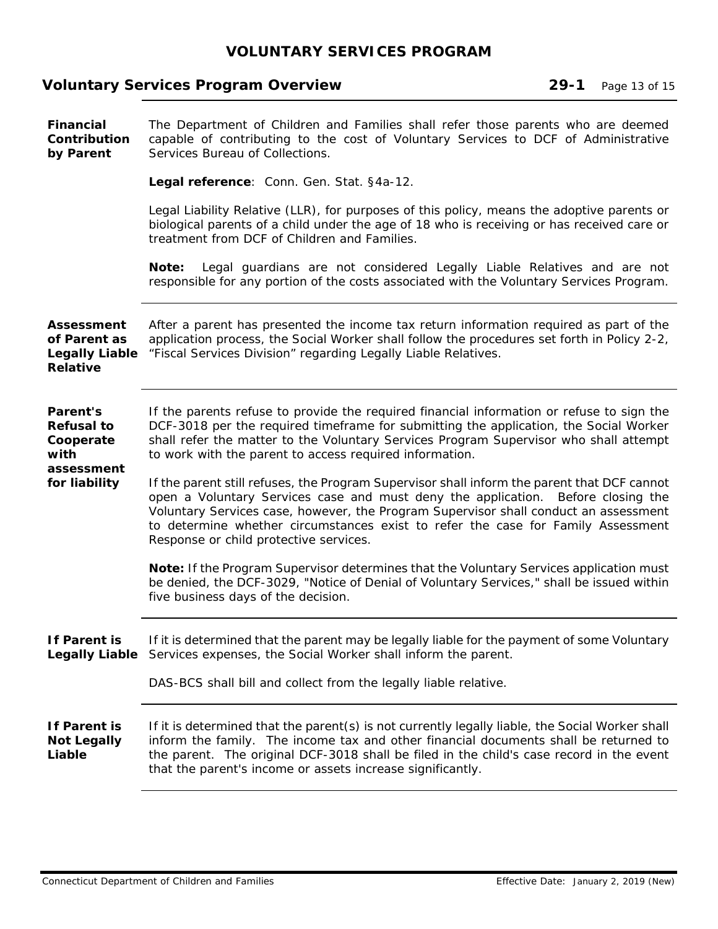# **Voluntary Services Program Overview 29-1** Page 13 of 15

| <b>Financial</b><br>Contribution<br>by Parent                                 | The Department of Children and Families shall refer those parents who are deemed<br>capable of contributing to the cost of Voluntary Services to DCF of Administrative<br>Services Bureau of Collections.                                                                                                                                                                                             |
|-------------------------------------------------------------------------------|-------------------------------------------------------------------------------------------------------------------------------------------------------------------------------------------------------------------------------------------------------------------------------------------------------------------------------------------------------------------------------------------------------|
|                                                                               | Legal reference: Conn. Gen. Stat. §4a-12.                                                                                                                                                                                                                                                                                                                                                             |
|                                                                               | Legal Liability Relative (LLR), for purposes of this policy, means the adoptive parents or<br>biological parents of a child under the age of 18 who is receiving or has received care or<br>treatment from DCF of Children and Families.                                                                                                                                                              |
|                                                                               | Legal guardians are not considered Legally Liable Relatives and are not<br>Note:<br>responsible for any portion of the costs associated with the Voluntary Services Program.                                                                                                                                                                                                                          |
| <b>Assessment</b><br>of Parent as<br><b>Legally Liable</b><br><b>Relative</b> | After a parent has presented the income tax return information required as part of the<br>application process, the Social Worker shall follow the procedures set forth in Policy 2-2,<br>"Fiscal Services Division" regarding Legally Liable Relatives.                                                                                                                                               |
| Parent's<br><b>Refusal to</b><br>Cooperate<br>with<br>assessment              | If the parents refuse to provide the required financial information or refuse to sign the<br>DCF-3018 per the required timeframe for submitting the application, the Social Worker<br>shall refer the matter to the Voluntary Services Program Supervisor who shall attempt<br>to work with the parent to access required information.                                                                |
| for liability                                                                 | If the parent still refuses, the Program Supervisor shall inform the parent that DCF cannot<br>open a Voluntary Services case and must deny the application. Before closing the<br>Voluntary Services case, however, the Program Supervisor shall conduct an assessment<br>to determine whether circumstances exist to refer the case for Family Assessment<br>Response or child protective services. |
|                                                                               | Note: If the Program Supervisor determines that the Voluntary Services application must<br>be denied, the DCF-3029, "Notice of Denial of Voluntary Services," shall be issued within<br>five business days of the decision.                                                                                                                                                                           |
| If Parent is                                                                  | If it is determined that the parent may be legally liable for the payment of some Voluntary<br>Legally Liable Services expenses, the Social Worker shall inform the parent.                                                                                                                                                                                                                           |
|                                                                               | DAS-BCS shall bill and collect from the legally liable relative.                                                                                                                                                                                                                                                                                                                                      |
| If Parent is<br><b>Not Legally</b><br>Liable                                  | If it is determined that the parent(s) is not currently legally liable, the Social Worker shall<br>inform the family. The income tax and other financial documents shall be returned to<br>the parent. The original DCF-3018 shall be filed in the child's case record in the event<br>that the parent's income or assets increase significantly.                                                     |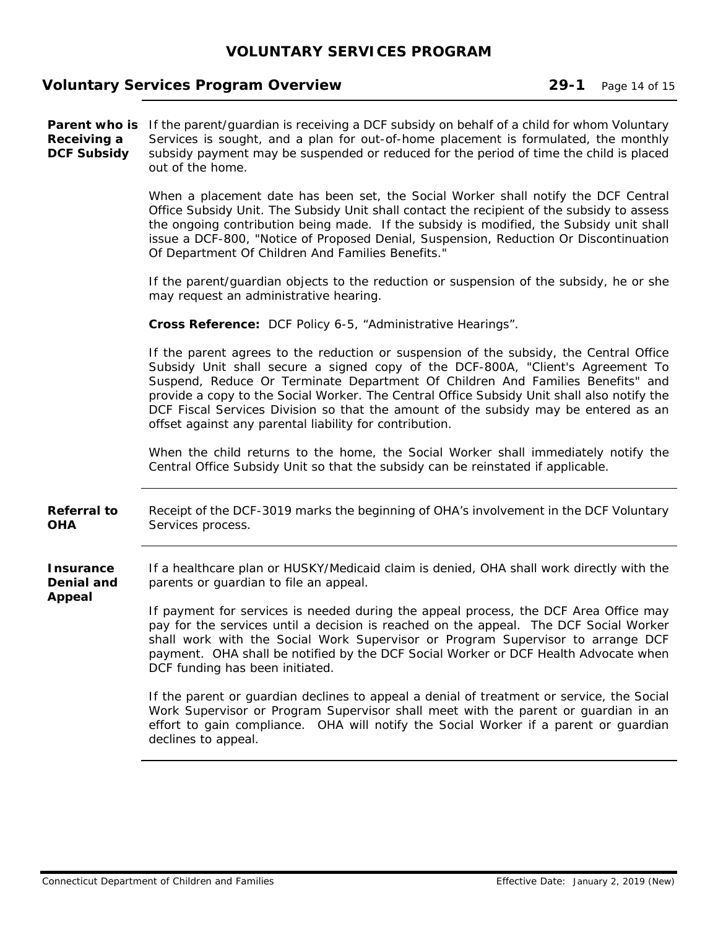#### **Voluntary Services Program Overview 29-1 Page 14 of 15 and 15 and 29-1 Page 14 of 15 and 15 and 29-1 and 29-1 page 14 of 15 and 20 and 20 and 20 and 20 and 20 and 20 and 20 and 20 and 20 and 20 and 20 and 20 and 20 and 20**

Parent who is If the parent/guardian is receiving a DCF subsidy on behalf of a child for whom Voluntary **Receiving a DCF Subsidy**  Services is sought, and a plan for out-of-home placement is formulated, the monthly subsidy payment may be suspended or reduced for the period of time the child is placed out of the home.

> When a placement date has been set, the Social Worker shall notify the DCF Central Office Subsidy Unit. The Subsidy Unit shall contact the recipient of the subsidy to assess the ongoing contribution being made. If the subsidy is modified, the Subsidy unit shall issue a DCF-800, "Notice of Proposed Denial, Suspension, Reduction Or Discontinuation Of Department Of Children And Families Benefits."

> If the parent/guardian objects to the reduction or suspension of the subsidy, he or she may request an administrative hearing.

**Cross Reference:** DCF Policy 6-5, "Administrative Hearings".

If the parent agrees to the reduction or suspension of the subsidy, the Central Office Subsidy Unit shall secure a signed copy of the DCF-800A, "Client's Agreement To Suspend, Reduce Or Terminate Department Of Children And Families Benefits" and provide a copy to the Social Worker. The Central Office Subsidy Unit shall also notify the DCF Fiscal Services Division so that the amount of the subsidy may be entered as an offset against any parental liability for contribution.

When the child returns to the home, the Social Worker shall immediately notify the Central Office Subsidy Unit so that the subsidy can be reinstated if applicable.

**Referral to OHA**  Receipt of the DCF-3019 marks the beginning of OHA's involvement in the DCF Voluntary Services process.

**Insurance Denial and**  If a healthcare plan or HUSKY/Medicaid claim is denied, OHA shall work directly with the parents or guardian to file an appeal.

> If payment for services is needed during the appeal process, the DCF Area Office may pay for the services until a decision is reached on the appeal. The DCF Social Worker shall work with the Social Work Supervisor or Program Supervisor to arrange DCF payment. OHA shall be notified by the DCF Social Worker or DCF Health Advocate when DCF funding has been initiated.

> If the parent or guardian declines to appeal a denial of treatment or service, the Social Work Supervisor or Program Supervisor shall meet with the parent or guardian in an effort to gain compliance. OHA will notify the Social Worker if a parent or guardian declines to appeal.

**Appeal**